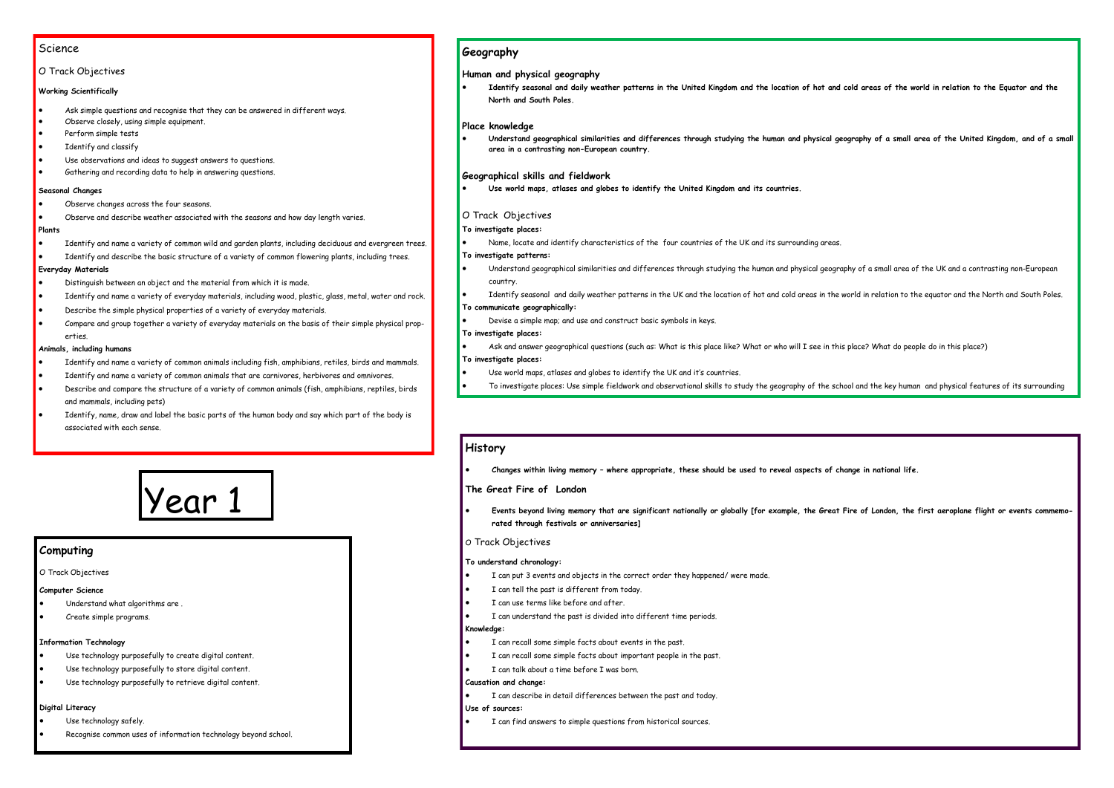# Science

# O Track Objectives

# **Working Scientifically**

- Ask simple questions and recognise that they can be answered in different ways.
- Observe closely, using simple equipment.
- Perform simple tests
- Identify and classify
- Use observations and ideas to suggest answers to questions.
- Gathering and recording data to help in answering questions.

# **Seasonal Changes**

- Observe changes across the four seasons.
- Observe and describe weather associated with the seasons and how day length varies.

# **Plants**

- Identify and name a variety of common wild and garden plants, including deciduous and evergreen trees.
- Identify and describe the basic structure of a variety of common flowering plants, including trees.

# **Everyday Materials**

- Distinguish between an object and the material from which it is made.
- Identify and name a variety of everyday materials, including wood, plastic, glass, metal, water and rock.
- Describe the simple physical properties of a variety of everyday materials.
- Compare and group together a variety of everyday materials on the basis of their simple physical properties.

# **Animals, including humans**

- Identify and name a variety of common animals including fish, amphibians, retiles, birds and mammals.
- Identify and name a variety of common animals that are carnivores, herbivores and omnivores.
- Describe and compare the structure of a variety of common animals (fish, amphibians, reptiles, birds and mammals, including pets)
- Identify, name, draw and label the basic parts of the human body and say which part of the body is associated with each sense.

# Year 1

# **Geography**

**Human and physical geography**

 **Identify seasonal and daily weather patterns in the United Kingdom and the location of hot and cold areas of the world in relation to the Equator and the North and South Poles.**

# **Place knowledge**

 **Understand geographical similarities and differences through studying the human and physical geography of a small area of the United Kingdom, and of a small area in a contrasting non-European country.**

# **Geographical skills and fieldwork**

**Use world maps, atlases and globes to identify the United Kingdom and its countries.**

# O Track Objectives

# **To investigate places:**

- Name, locate and identify characteristics of the four countries of the UK and its surrounding areas. **To investigate patterns:**
- Understand geographical similarities and differences through studying the human and physical geography of a small area of the UK and a contrasting non-European country.
- Identify seasonal and daily weather patterns in the UK and the location of hot and cold areas in the world in relation to the equator and the North and South Poles.

# **To communicate geographically:**

Devise a simple map; and use and construct basic symbols in keys.

# **To investigate places:**

Ask and answer geographical questions (such as: What is this place like? What or who will I see in this place? What do people do in this place?)

# **To investigate places:**

- Use world maps, atlases and globes to identify the UK and it's countries.
- To investigate places: Use simple fieldwork and observational skills to study the geography of the school and the key human and physical features of its surrounding

# **History**

**Changes within living memory – where appropriate, these should be used to reveal aspects of change in national life.**

# **The Great Fire of London**

 **Events beyond living memory that are significant nationally or globally [for example, the Great Fire of London, the first aeroplane flight or events commemorated through festivals or anniversaries]**

# O Track Objectives

# **To understand chronology:**

- I can put 3 events and objects in the correct order they happened/ were made.
- I can tell the past is different from today.
- I can use terms like before and after.
- I can understand the past is divided into different time periods.

# **Knowledge:**

- I can recall some simple facts about events in the past.
- I can recall some simple facts about important people in the past.
- I can talk about a time before I was born.

# **Causation and change:**

- I can describe in detail differences between the past and today. **Use of sources:**
- I can find answers to simple questions from historical sources.

# **Computing**

O Track Objectives

# **Computer Science**

- Understand what algorithms are .
- Create simple programs.

# **Information Technology**

- Use technology purposefully to create digital content.
- Use technology purposefully to store digital content.
- Use technology purposefully to retrieve digital content.

# **Digital Literacy**

- Use technology safely.
- Recognise common uses of information technology beyond school.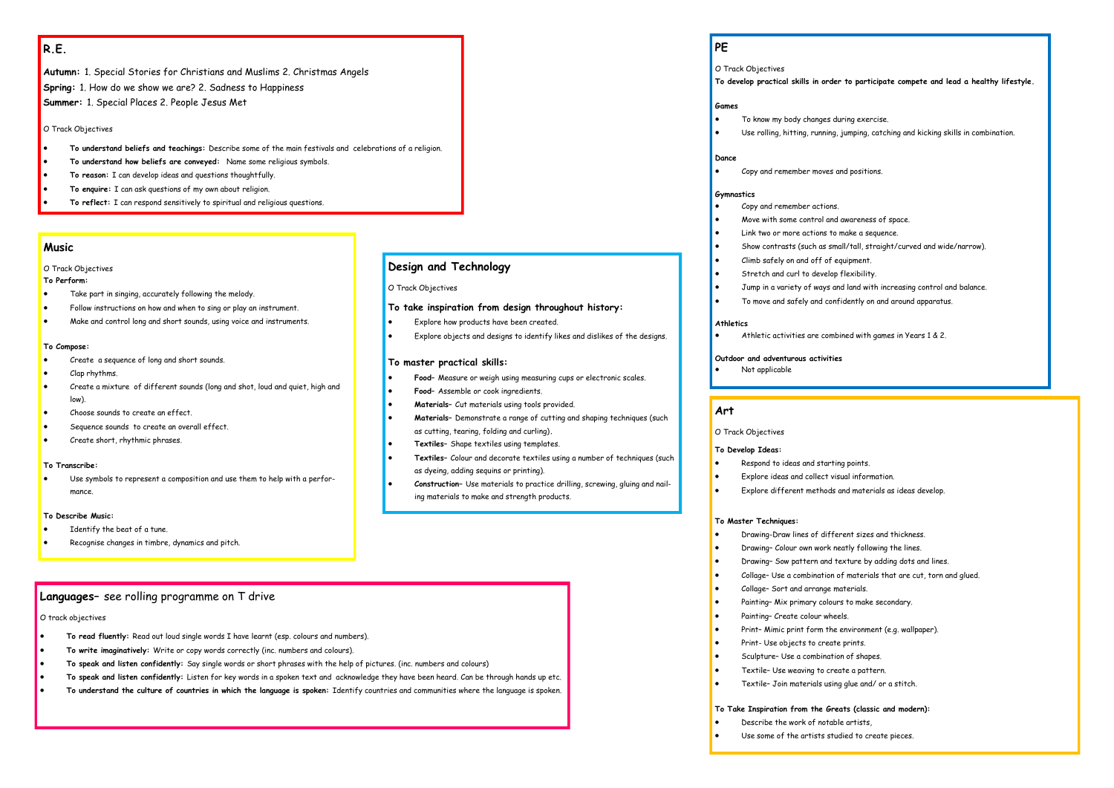# **R.E.**

**Autumn:** 1. Special Stories for Christians and Muslims 2. Christmas Angels **Spring:** 1. How do we show we are? 2. Sadness to Happiness **Summer:** 1. Special Places 2. People Jesus Met

O Track Objectives

- **To understand beliefs and teachings:** Describe some of the main festivals and celebrations of a religion.
- **To understand how beliefs are conveyed:** Name some religious symbols.
- **To reason:** I can develop ideas and questions thoughtfully.
- **To enquire:** I can ask questions of my own about religion.
- **To reflect:** I can respond sensitively to spiritual and religious questions.

# **Languages–** see rolling programme on T drive

- **To read fluently:** Read out loud single words I have learnt (esp. colours and numbers).
- **To write imaginatively:** Write or copy words correctly (inc. numbers and colours).
- **To speak and listen confidently:** Say single words or short phrases with the help of pictures. (inc. numbers and colours)
- **To speak and listen confidently:** Listen for key words in a spoken text and acknowledge they have been heard. Can be through hands up etc.
- **To understand the culture of countries in which the language is spoken:** Identify countries and communities where the language is spoken.

# **Music**

# O Track Objectives

#### **To Perform:**

- Take part in singing, accurately following the melody.
- Follow instructions on how and when to sing or play an instrument.
- Make and control long and short sounds, using voice and instruments.

- **•** Drawing-Draw lines of different sizes and thickness.
	-
	-
	- Collage– Sort and arrange materials.
	-
- Painting– Create colour wheels.
- 
- Print- Use objects to create prints.
- Sculpture– Use a combination of shapes.
- Textile– Use weaving to create a pattern.
- Textile– Join materials using glue and/ or a stitch.

#### **To Compose:**

- Create a sequence of long and short sounds.
- Clap rhythms.
- Create a mixture of different sounds (long and shot, loud and quiet, high and low).
- Choose sounds to create an effect.
- Sequence sounds to create an overall effect.
- Create short, rhythmic phrases.

# **To Transcribe:**

 Use symbols to represent a composition and use them to help with a performance.

#### **To Describe Music:**

- Identify the beat of a tune.
- Recognise changes in timbre, dynamics and pitch.

# **Art**

O Track Objectives

#### **To Develop Ideas:**

- Respond to ideas and starting points.
- Explore ideas and collect visual information.
	-

Explore different methods and materials as ideas develop.

# **To Master Techniques:**

Drawing– Colour own work neatly following the lines.

**•** Drawing- Sow pattern and texture by adding dots and lines.

Collage– Use a combination of materials that are cut, torn and glued.

Painting– Mix primary colours to make secondary.

 $\bullet$  Print-Mimic print form the environment (e.g. wallpaper).

# **To Take Inspiration from the Greats (classic and modern):**

- Describe the work of notable artists,
- Use some of the artists studied to create pieces.

# **Design and Technology**

O Track Objectives

# **To take inspiration from design throughout history:**

- Explore how products have been created.
- Explore objects and designs to identify likes and dislikes of the designs.

# **To master practical skills:**

# **Food–** Assemble or cook ingredients.

- **Materials–** Demonstrate a range of cutting and shaping techniques (such
- 

- **Food–** Measure or weigh using measuring cups or electronic scales.
- **Materials–** Cut materials using tools provided.
- as cutting, tearing, folding and curling)**.**
- **Textiles–** Shape textiles using templates.
- **Textiles–** Colour and decorate textiles using a number of techniques (such as dyeing, adding sequins or printing).
- ing materials to make and strength products.

**Construction–** Use materials to practice drilling, screwing, gluing and nail-

# O track objectives

# **PE**

O Track Objectives

#### **To develop practical skills in order to participate compete and lead a healthy lifestyle.**

# **Games**

- To know my body changes during exercise.
- 

Use rolling, hitting, running, jumping, catching and kicking skills in combination.

# **Dance**

Copy and remember moves and positions.

#### **Gymnastics**

Move with some control and awareness of space.

- Copy and remember actions.
- 
- Link two or more actions to make a sequence.
- 
- Climb safely on and off of equipment.
- Stretch and curl to develop flexibility.
- 
- 

Show contrasts (such as small/tall, straight/curved and wide/narrow).

Jump in a variety of ways and land with increasing control and balance.

To move and safely and confidently on and around apparatus.

# **Athletics**

Athletic activities are combined with games in Years 1 & 2.

# **Outdoor and adventurous activities** Not applicable